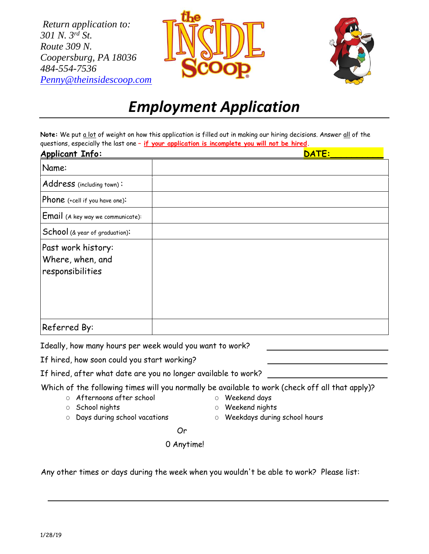*Return application to: 301 N. 3rd St. Route 309 N. Coopersburg, PA 18036 484-554-7536 [Penny@theinsidescoop.com](mailto:Penny@theinsidescoop.com)*





## *Employment Application*

Note: We put a lot of weight on how this application is filled out in making our hiring decisions. Answer all of the questions, especially the last one **– if your application is incomplete you will not be hired.**

| <b>Applicant Info:</b>                                     | DATE: |
|------------------------------------------------------------|-------|
| Name:                                                      |       |
| Address (including town):                                  |       |
| Phone (+cell if you have one):                             |       |
| Email (A key way we communicate):                          |       |
| School (& year of graduation):                             |       |
| Past work history:<br>Where, when, and<br>responsibilities |       |
| Referred By:                                               |       |

Ideally, how many hours per week would you want to work?

If hired, how soon could you start working?

If hired, after what date are you no longer available to work?

Which of the following times will you normally be available to work (check off all that apply)?

O Afternoons after school

- O Weekend days
- O School nights
- O Weekend nights
- O Days during school vacations
- O Weekdays during school hours

**Similar Contract Contract Or** 

0 Anytime!

Any other times or days during the week when you wouldn't be able to work? Please list: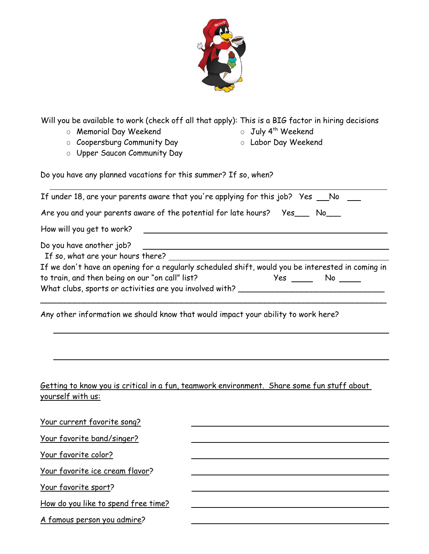

Will you be available to work (check off all that apply): This is a BIG factor in hiring decisions

o Memorial Day Weekend

- o July 4<sup>th</sup> Weekend
- o Coopersburg Community Day
- O Labor Day Weekend
- o Upper Saucon Community Day

Do you have any planned vacations for this summer? If so, when?

|                                                                                                                                                                                                                                                                                                     | If under 18, are your parents aware that you're applying for this job? Yes __ No           |  |
|-----------------------------------------------------------------------------------------------------------------------------------------------------------------------------------------------------------------------------------------------------------------------------------------------------|--------------------------------------------------------------------------------------------|--|
|                                                                                                                                                                                                                                                                                                     | Are you and your parents aware of the potential for late hours?    Yes___ No___            |  |
| How will you get to work?                                                                                                                                                                                                                                                                           |                                                                                            |  |
| Do you have another job?<br>If we don't have an opening for a regularly scheduled shift, would you be interested in coming in<br>to train, and then being on our "on call" list?<br>of the set of the set of the set of the set of the set of the set of the set of the set of the set of the set o |                                                                                            |  |
|                                                                                                                                                                                                                                                                                                     | Any other information we should know that would impact your ability to work here?          |  |
| yourself with us:                                                                                                                                                                                                                                                                                   | Getting to know you is critical in a fun, teamwork environment. Share some fun stuff about |  |
| Your current favorite song?                                                                                                                                                                                                                                                                         |                                                                                            |  |
| <u>Your favorite band/singer?</u>                                                                                                                                                                                                                                                                   |                                                                                            |  |
| Your favorite color?                                                                                                                                                                                                                                                                                |                                                                                            |  |
| Your favorite ice cream flavor?                                                                                                                                                                                                                                                                     |                                                                                            |  |
| $M = \{f_1, \ldots, f_k\}$                                                                                                                                                                                                                                                                          |                                                                                            |  |

Your favorite sport?

How do you like to spend free time?

A famous person you admire?